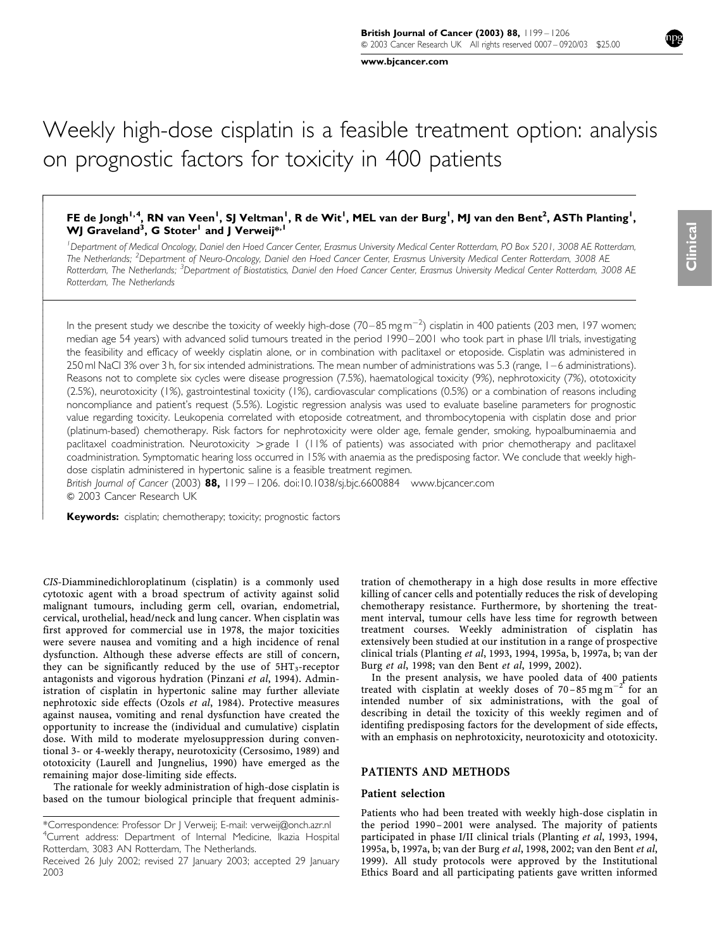www.bjcancer.com

# FE de Jongh<sup>1,4</sup>, RN van Veen<sup>1</sup>, SJ Veltman<sup>1</sup>, R de Wit<sup>1</sup>, MEL van der Burg<sup>1</sup>, MJ van den Bent<sup>2</sup>, ASTh Planting<sup>1</sup>, WJ Graveland<sup>3</sup>, G Stoter<sup>1</sup> and J Verweij\*<sup>, 1</sup>

1 Department of Medical Oncology, Daniel den Hoed Cancer Center, Erasmus University Medical Center Rotterdam, PO Box 5201, 3008 AE Rotterdam, The Netherlands; <sup>2</sup>Department of Neuro-Oncology, Daniel den Hoed Cancer Center, Erasmus University Medical Center Rotterdam, 3008 AE Rotterdam, The Netherlands; <sup>3</sup>Department of Biostatistics, Daniel den Hoed Cancer Center, Erasmus University Medical Center Rotterdam, 3008 AE Rotterdam, The Netherlands

In the present study we describe the toxicity of weekly high-dose (70–85 mg m $^{-2}$ ) cisplatin in 400 patients (203 men, 197 women; median age 54 years) with advanced solid tumours treated in the period 1990–2001 who took part in phase I/II trials, investigating the feasibility and efficacy of weekly cisplatin alone, or in combination with paclitaxel or etoposide. Cisplatin was administered in 250 ml NaCl 3% over 3 h, for six intended administrations. The mean number of administrations was 5.3 (range, 1–6 administrations). Reasons not to complete six cycles were disease progression (7.5%), haematological toxicity (9%), nephrotoxicity (7%), ototoxicity (2.5%), neurotoxicity (1%), gastrointestinal toxicity (1%), cardiovascular complications (0.5%) or a combination of reasons including noncompliance and patient's request (5.5%). Logistic regression analysis was used to evaluate baseline parameters for prognostic value regarding toxicity. Leukopenia correlated with etoposide cotreatment, and thrombocytopenia with cisplatin dose and prior (platinum-based) chemotherapy. Risk factors for nephrotoxicity were older age, female gender, smoking, hypoalbuminaemia and paclitaxel coadministration. Neurotoxicity > grade 1 (11% of patients) was associated with prior chemotherapy and paclitaxel coadministration. Symptomatic hearing loss occurred in 15% with anaemia as the predisposing factor. We conclude that weekly highdose cisplatin administered in hypertonic saline is a feasible treatment regimen.

British Journal of Cancer (2003) 88, 1199 – 1206. doi:10.1038/sj.bjc.6600884 www.bjcancer.com  $©$  2003 Cancer Research UK

Keywords: cisplatin; chemotherapy; toxicity; prognostic factors

ŕ  $\overline{\phantom{a}}$  $\overline{\phantom{a}}$  $\overline{\phantom{a}}$  $\bigg\}$  $\bigg\}$  $\bigg\}$  $\overline{\phantom{a}}$  $\overline{\phantom{a}}$  $\overline{\phantom{a}}$  $\bigg\}$  $\bigg\}$  $\overline{\phantom{a}}$  $\overline{\phantom{a}}$  $\overline{\phantom{a}}$  $\overline{\phantom{a}}$ ļ ľ  $\overline{\phantom{a}}$  $\overline{\phantom{a}}$  $\overline{\phantom{a}}$  $\bigg\}$  $\bigg\}$  $\overline{\phantom{a}}$  $\overline{\phantom{a}}$  $\overline{\phantom{a}}$  $\bigg\}$  $\bigg\}$  $\bigg\}$  $\overline{\phantom{a}}$  $\overline{\phantom{a}}$  $\overline{\phantom{a}}$  $\bigg\}$  $\bigg\}$  $\bigg\}$  $\overline{\phantom{a}}$  $\overline{\phantom{a}}$  $\overline{\phantom{a}}$  $\bigg\}$  $\bigg\}$  $\overline{\phantom{a}}$  $\overline{\phantom{a}}$  $\overline{\phantom{a}}$  $\bigg\}$  $\bigg\}$  $\overline{\phantom{a}}$  $\overline{\phantom{a}}$  $\overline{\phantom{a}}$  $\bigg\}$  $\bigg\}$  $\bigg\}$ 

CIS-Diamminedichloroplatinum (cisplatin) is a commonly used cytotoxic agent with a broad spectrum of activity against solid malignant tumours, including germ cell, ovarian, endometrial, cervical, urothelial, head/neck and lung cancer. When cisplatin was first approved for commercial use in 1978, the major toxicities were severe nausea and vomiting and a high incidence of renal dysfunction. Although these adverse effects are still of concern, they can be significantly reduced by the use of  $5HT_3$ -receptor antagonists and vigorous hydration (Pinzani et al, 1994). Administration of cisplatin in hypertonic saline may further alleviate nephrotoxic side effects (Ozols et al, 1984). Protective measures against nausea, vomiting and renal dysfunction have created the opportunity to increase the (individual and cumulative) cisplatin dose. With mild to moderate myelosuppression during conventional 3- or 4-weekly therapy, neurotoxicity (Cersosimo, 1989) and ototoxicity (Laurell and Jungnelius, 1990) have emerged as the remaining major dose-limiting side effects.

The rationale for weekly administration of high-dose cisplatin is based on the tumour biological principle that frequent administration of chemotherapy in a high dose results in more effective killing of cancer cells and potentially reduces the risk of developing chemotherapy resistance. Furthermore, by shortening the treatment interval, tumour cells have less time for regrowth between treatment courses. Weekly administration of cisplatin has extensively been studied at our institution in a range of prospective clinical trials (Planting et al, 1993, 1994, 1995a, b, 1997a, b; van der Burg et al, 1998; van den Bent et al, 1999, 2002).

In the present analysis, we have pooled data of 400 patients treated with cisplatin at weekly doses of 70–85 mg m<sup>-2</sup> for an intended number of six administrations, with the goal of describing in detail the toxicity of this weekly regimen and of identifing predisposing factors for the development of side effects, with an emphasis on nephrotoxicity, neurotoxicity and ototoxicity.

# PATIENTS AND METHODS

## Patient selection

Patients who had been treated with weekly high-dose cisplatin in the period 1990– 2001 were analysed. The majority of patients participated in phase I/II clinical trials (Planting et al, 1993, 1994, 1995a, b, 1997a, b; van der Burg et al, 1998, 2002; van den Bent et al, 1999). All study protocols were approved by the Institutional Ethics Board and all participating patients gave written informed

<sup>\*</sup>Correspondence: Professor Dr J Verweij; E-mail: verweij@onch.azr.nl 4 Current address: Department of Internal Medicine, Ikazia Hospital Rotterdam, 3083 AN Rotterdam, The Netherlands.

Received 26 July 2002; revised 27 January 2003; accepted 29 January 2003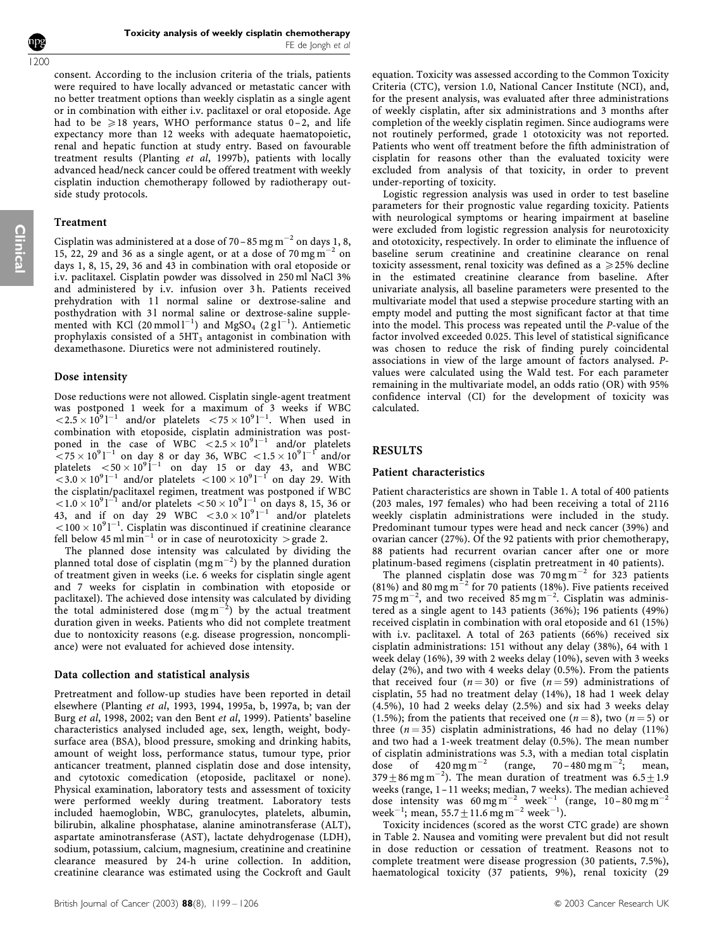Toxicity analysis of weekly cisplatin chemotherapy FE de Jongh et al

consent. According to the inclusion criteria of the trials, patients were required to have locally advanced or metastatic cancer with no better treatment options than weekly cisplatin as a single agent or in combination with either i.v. paclitaxel or oral etoposide. Age had to be  $\geq 18$  years, WHO performance status 0–2, and life expectancy more than 12 weeks with adequate haematopoietic, renal and hepatic function at study entry. Based on favourable treatment results (Planting et al, 1997b), patients with locally advanced head/neck cancer could be offered treatment with weekly cisplatin induction chemotherapy followed by radiotherapy outside study protocols.

# Treatment

Cisplatin was administered at a dose of 70 – 85 mg m<sup>-2</sup> on days 1, 8, 15, 22, 29 and 36 as a single agent, or at a dose of  $70 \,\mathrm{mg\,m}^{-2}$  on days 1, 8, 15, 29, 36 and 43 in combination with oral etoposide or i.v. paclitaxel. Cisplatin powder was dissolved in 250 ml NaCl 3% and administered by i.v. infusion over 3 h. Patients received prehydration with 11 normal saline or dextrose-saline and posthydration with 31 normal saline or dextrose-saline supplemented with KCl (20 mmol  $l^{-1}$ ) and MgSO<sub>4</sub> (2 g $l^{-1}$ ). Antiemetic prophylaxis consisted of a  $5HT_3$  antagonist in combination with dexamethasone. Diuretics were not administered routinely.

# Dose intensity

Dose reductions were not allowed. Cisplatin single-agent treatment was postponed 1 week for a maximum of 3 weeks if WBC  $\langle 2.5 \times 10^9$ <sup>1-1</sup> and/or platelets  $\langle 75 \times 10^9$ <sup>1-1</sup>. When used in combination with etoposide, cisplatin administration was postponed in the case of WBC  $< 2.5 \times 10^{9}$ l<sup>-1</sup> and/or platelets  $\sim$  75  $\times$  10<sup>9</sup> l<sup>-1</sup> on day 8 or day 36, WBC  $<$  1.5  $\times$  10<sup>9</sup> l<sup>-1</sup> and/or platelets  $\langle 50 \times 10^9 \dot{1}^{-1}$  on day 15 or day 43, and WBC  $<$  3.0  $\times$  10<sup>9</sup> l<sup>-1</sup> and/or platelets  $<$  100  $\times$  10<sup>9</sup> l<sup>-1</sup> on day 29. With the cisplatin/paclitaxel regimen, treatment was postponed if WBC  $1.0 \times 10^{9}$ l<sup>-1</sup> and/or platelets  $1.0 \times 10^{9}$ l<sup>-1</sup> on days 8, 15, 36 or 43, and if on day 29 WBC  $< 3.0 \times 10^{9}$ l<sup>-1</sup> and/or platelets  $100 \times 10^{9}$ l<sup>-1</sup>. Cisplatin was discontinued if creatinine clearance fell below 45 ml min<sup>-1</sup> or in case of neurotoxicity > grade 2.

The planned dose intensity was calculated by dividing the planned total dose of cisplatin (mg  $m^{-2}$ ) by the planned duration of treatment given in weeks (i.e. 6 weeks for cisplatin single agent and 7 weeks for cisplatin in combination with etoposide or paclitaxel). The achieved dose intensity was calculated by dividing the total administered dose  $(mg m^{-2})$  by the actual treatment duration given in weeks. Patients who did not complete treatment due to nontoxicity reasons (e.g. disease progression, noncompliance) were not evaluated for achieved dose intensity.

# Data collection and statistical analysis

Pretreatment and follow-up studies have been reported in detail elsewhere (Planting et al, 1993, 1994, 1995a, b, 1997a, b; van der Burg et al, 1998, 2002; van den Bent et al, 1999). Patients' baseline characteristics analysed included age, sex, length, weight, bodysurface area (BSA), blood pressure, smoking and drinking habits, amount of weight loss, performance status, tumour type, prior anticancer treatment, planned cisplatin dose and dose intensity, and cytotoxic comedication (etoposide, paclitaxel or none). Physical examination, laboratory tests and assessment of toxicity were performed weekly during treatment. Laboratory tests included haemoglobin, WBC, granulocytes, platelets, albumin, bilirubin, alkaline phosphatase, alanine aminotransferase (ALT), aspartate aminotransferase (AST), lactate dehydrogenase (LDH), sodium, potassium, calcium, magnesium, creatinine and creatinine clearance measured by 24-h urine collection. In addition, creatinine clearance was estimated using the Cockroft and Gault

equation. Toxicity was assessed according to the Common Toxicity Criteria (CTC), version 1.0, National Cancer Institute (NCI), and, for the present analysis, was evaluated after three administrations of weekly cisplatin, after six administrations and 3 months after completion of the weekly cisplatin regimen. Since audiograms were not routinely performed, grade 1 ototoxicity was not reported. Patients who went off treatment before the fifth administration of cisplatin for reasons other than the evaluated toxicity were excluded from analysis of that toxicity, in order to prevent under-reporting of toxicity.

Logistic regression analysis was used in order to test baseline parameters for their prognostic value regarding toxicity. Patients with neurological symptoms or hearing impairment at baseline were excluded from logistic regression analysis for neurotoxicity and ototoxicity, respectively. In order to eliminate the influence of baseline serum creatinine and creatinine clearance on renal toxicity assessment, renal toxicity was defined as a  $\geq$  25% decline in the estimated creatinine clearance from baseline. After univariate analysis, all baseline parameters were presented to the multivariate model that used a stepwise procedure starting with an empty model and putting the most significant factor at that time into the model. This process was repeated until the P-value of the factor involved exceeded 0.025. This level of statistical significance was chosen to reduce the risk of finding purely coincidental associations in view of the large amount of factors analysed. Pvalues were calculated using the Wald test. For each parameter remaining in the multivariate model, an odds ratio (OR) with 95% confidence interval (CI) for the development of toxicity was calculated.

# RESULTS

### Patient characteristics

Patient characteristics are shown in Table 1. A total of 400 patients (203 males, 197 females) who had been receiving a total of 2116 weekly cisplatin administrations were included in the study. Predominant tumour types were head and neck cancer (39%) and ovarian cancer (27%). Of the 92 patients with prior chemotherapy, 88 patients had recurrent ovarian cancer after one or more platinum-based regimens (cisplatin pretreatment in 40 patients).

The planned cisplatin dose was  $70 \text{ mg m}^{-2}$  for 323 patients (81%) and 80 mg m<sup> $^{-2}$ </sup> for 70 patients (18%). Five patients received  $75 \,\mathrm{mg\,m^{-2}}$ , and two received 85 mg m<sup>-2</sup>. Cisplatin was administered as a single agent to 143 patients (36%); 196 patients (49%) received cisplatin in combination with oral etoposide and 61 (15%) with i.v. paclitaxel. A total of 263 patients (66%) received six cisplatin administrations: 151 without any delay (38%), 64 with 1 week delay (16%), 39 with 2 weeks delay (10%), seven with 3 weeks delay (2%), and two with 4 weeks delay (0.5%). From the patients that received four  $(n = 30)$  or five  $(n = 59)$  administrations of cisplatin, 55 had no treatment delay (14%), 18 had 1 week delay (4.5%), 10 had 2 weeks delay (2.5%) and six had 3 weeks delay (1.5%); from the patients that received one ( $n = 8$ ), two ( $n = 5$ ) or three  $(n = 35)$  cisplatin administrations, 46 had no delay (11%) and two had a 1-week treatment delay (0.5%). The mean number of cisplatin administrations was 5.3, with a median total cisplatin<br>dose of  $420 \text{ mg m}^{-2}$  (range,  $70-480 \text{ mg m}^{-2}$ ; mean, dose of  $420 \text{ mg m}^{-2}$  (range,  $70-480 \text{ mg m}^{-2}$ ; mean, 379 $\pm$ 86 mg m<sup>-2</sup>). The mean duration of treatment was  $6.5\pm1.9$ weeks (range, 1–11 weeks; median, 7 weeks). The median achieved dose intensity was  $60 \text{ mg m}^{-2}$  week<sup>-1</sup> (range,  $10-80 \text{ mg m}^{-2}$ week<sup>-1</sup>; mean, 55.7  $\pm$  11.6 mg m<sup>-2</sup> week<sup>-1</sup>).

Toxicity incidences (scored as the worst CTC grade) are shown in Table 2. Nausea and vomiting were prevalent but did not result in dose reduction or cessation of treatment. Reasons not to complete treatment were disease progression (30 patients, 7.5%), haematological toxicity (37 patients, 9%), renal toxicity (29

Clinical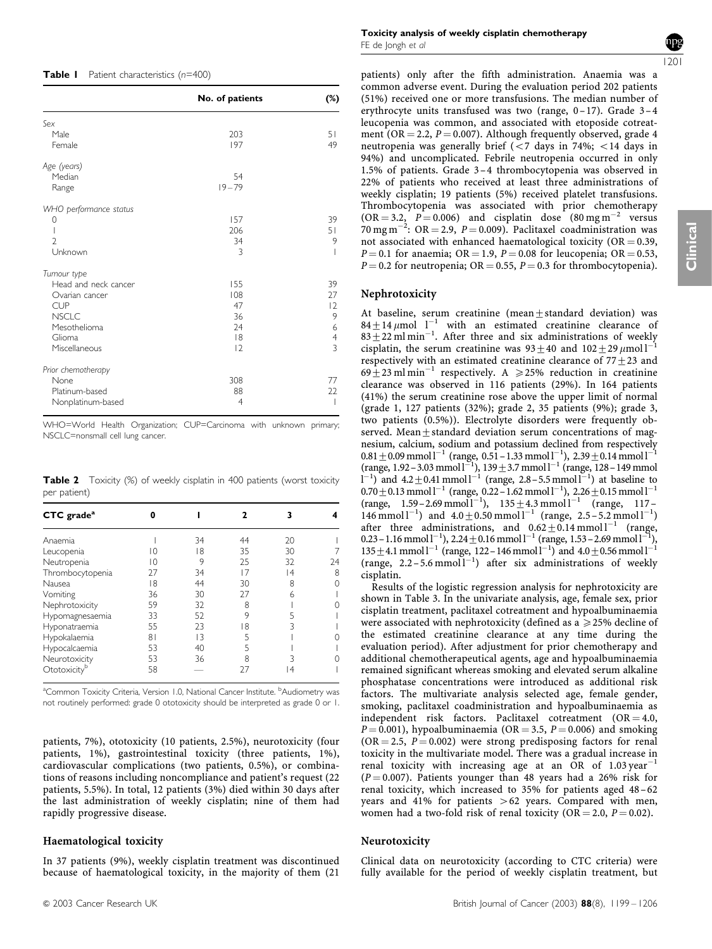|                        | No. of patients | (%)                      |
|------------------------|-----------------|--------------------------|
|                        |                 |                          |
| Sex                    |                 |                          |
| Male                   | 203             | 51                       |
| Female                 | 197             | 49                       |
| Age (years)            |                 |                          |
| Median                 | 54              |                          |
| Range                  | $19 - 79$       |                          |
| WHO performance status |                 |                          |
| 0                      | 157             | 39                       |
| ı                      | 206             | 51                       |
| $\mathcal{D}$          | 34              | 9                        |
| Unknown                | 3               | I                        |
| Tumour type            |                 |                          |
| Head and neck cancer   | 155             | 39                       |
| Ovarian cancer         | 108             | 27                       |
| <b>CUP</b>             | 47              | 2                        |
| <b>NSCLC</b>           | 36              | 9                        |
| Mesothelioma           | 24              | 6                        |
| Glioma                 | 8               | $\overline{4}$           |
| Miscellaneous          | 2               | 3                        |
| Prior chemotherapy     |                 |                          |
| None                   | 308             | 77                       |
| Platinum-based         | 88              | 22                       |
| Nonplatinum-based      | 4               | $\overline{\phantom{a}}$ |

WHO=World Health Organization; CUP=Carcinoma with unknown primary; NSCLC=nonsmall cell lung cancer.

Table 2 Toxicity (%) of weekly cisplatin in 400 patients (worst toxicity per patient)

| CTC grade <sup>a</sup>   | n  |    |    | 3  |    |
|--------------------------|----|----|----|----|----|
| Anaemia                  |    | 34 | 44 | 20 |    |
| Leucopenia               | 10 | 18 | 35 | 30 |    |
| Neutropenia              | 10 | 9  | 25 | 32 | 24 |
| Thrombocytopenia         | 27 | 34 | 17 | 14 | 8  |
| Nausea                   | 18 | 44 | 30 | 8  | Λ  |
| Vomiting                 | 36 | 30 | 27 | 6  |    |
| Nephrotoxicity           | 59 | 32 | 8  |    |    |
| Hypomagnesaemia          | 33 | 52 | 9  |    |    |
| Hyponatraemia            | 55 | 23 | 18 |    |    |
| Hypokalaemia             | 81 | 13 | 5  |    |    |
| Hypocalcaemia            | 53 | 40 | 5  |    |    |
| Neurotoxicity            | 53 | 36 | 8  |    |    |
| Ototoxicity <sup>b</sup> | 58 |    | 27 | 14 |    |

<sup>a</sup>Common Toxicity Criteria, Version 1.0, National Cancer Institute. <sup>b</sup>Audiometry was not routinely performed: grade 0 ototoxicity should be interpreted as grade 0 or 1.

patients, 7%), ototoxicity (10 patients, 2.5%), neurotoxicity (four patients, 1%), gastrointestinal toxicity (three patients, 1%), cardiovascular complications (two patients, 0.5%), or combinations of reasons including noncompliance and patient's request (22 patients, 5.5%). In total, 12 patients (3%) died within 30 days after the last administration of weekly cisplatin; nine of them had rapidly progressive disease.

# Haematological toxicity

In 37 patients (9%), weekly cisplatin treatment was discontinued because of haematological toxicity, in the majority of them (21

patients) only after the fifth administration. Anaemia was a common adverse event. During the evaluation period 202 patients (51%) received one or more transfusions. The median number of erythrocyte units transfused was two (range,  $0-17$ ). Grade  $3-4$ leucopenia was common, and associated with etoposide cotreatment (OR = 2.2,  $P = 0.007$ ). Although frequently observed, grade 4 neutropenia was generally brief ( $<$ 7 days in 74%;  $<$ 14 days in 94%) and uncomplicated. Febrile neutropenia occurred in only 1.5% of patients. Grade 3 –4 thrombocytopenia was observed in 22% of patients who received at least three administrations of weekly cisplatin; 19 patients (5%) received platelet transfusions. Thrombocytopenia was associated with prior chemotherapy  $(OR = 3.2, P = 0.006)$  and cisplatin dose  $(80 \text{ mg m}^{-2}$  versus 70 mg m<sup>-2</sup>: OR = 2.9, P = 0.009). Paclitaxel coadministration was not associated with enhanced haematological toxicity ( $OR = 0.39$ ,  $P = 0.1$  for anaemia; OR = 1.9,  $P = 0.08$  for leucopenia; OR = 0.53,  $P = 0.2$  for neutropenia; OR = 0.55,  $P = 0.3$  for thrombocytopenia).

# Nephrotoxicity

At baseline, serum creatinine (mean+standard deviation) was  $84+14 \mu$ mol l<sup>-1</sup> with an estimated creatinine clearance of  $83 + 22$  ml min<sup>-1</sup>. After three and six administrations of weekly cisplatin, the serum creatinine was  $93 \pm 40$  and  $102 \pm 29 \mu$ mol l<sup>-1</sup> respectively with an estimated creatinine clearance of  $77+23$  and  $69 + 23$  ml min<sup>-1</sup> respectively. A  $\geq 25%$  reduction in creatinine clearance was observed in 116 patients (29%). In 164 patients (41%) the serum creatinine rose above the upper limit of normal (grade 1, 127 patients (32%); grade 2, 35 patients (9%); grade 3, two patients (0.5%)). Electrolyte disorders were frequently observed. Mean $+$ standard deviation serum concentrations of magnesium, calcium, sodium and potassium declined from respectively  $0.81 \pm 0.09$  mmol l<sup>-1</sup> (range, 0.51 – 1.33 mmol l<sup>-1</sup>), 2.39  $\pm$  0.14 mmol l<sup>-1</sup> (range, 1.92 – 3.03 mmol  $l^{-1}$ ), 139  $\pm$  3.7 mmol  $l^{-1}$  (range, 128 – 149 mmol  $(1^{-1})$  and  $4.2 \pm 0.41$  mmol  $1^{-1}$  (range, 2.8 – 5.5 mmol  $1^{-1}$ ) at baseline to  $0.70 \pm 0.13$  mmol l<sup>-1</sup> (range, 0.22-1.62 mmol l<sup>-1</sup>), 2.26  $\pm$  0.15 mmol l<sup>-1</sup>  $(range, 1.59-2.69 mmol<sup>-1</sup>), 135+4.3 mmol<sup>-1</sup> (range, 117-1)$  $146$  mmol l<sup>-1</sup>) and  $4.0 \pm 0.50$  mmol l<sup>-1</sup> (range, 2.5 - 5.2 mmol l<sup>-1</sup>) after three administrations, and  $0.62 \pm 0.14$  mmol l<sup>-1</sup> (range, 0.23 – 1.16 mmol  $l^{-1}$ ), 2.24  $\pm$  0.16 mmol  $l^{-1}$  (range, 1.53 – 2.69 mmol  $l^{-1}$ ),  $135 \pm 4.1$  mmol  $l^{-1}$  (range, 122 – 146 mmol  $l^{-1}$ ) and  $4.0 \pm 0.56$  mmol  $l^{-1}$ (range,  $2.2 - 5.6$  mmol<sup>1-1</sup>) after six administrations of weekly cisplatin.

Results of the logistic regression analysis for nephrotoxicity are shown in Table 3. In the univariate analysis, age, female sex, prior cisplatin treatment, paclitaxel cotreatment and hypoalbuminaemia were associated with nephrotoxicity (defined as a  $\geq$  25% decline of the estimated creatinine clearance at any time during the evaluation period). After adjustment for prior chemotherapy and additional chemotherapeutical agents, age and hypoalbuminaemia remained significant whereas smoking and elevated serum alkaline phosphatase concentrations were introduced as additional risk factors. The multivariate analysis selected age, female gender, smoking, paclitaxel coadministration and hypoalbuminaemia as independent risk factors. Paclitaxel cotreatment  $(OR = 4.0,$  $P = 0.001$ ), hypoalbuminaemia (OR = 3.5,  $P = 0.006$ ) and smoking  $(OR = 2.5, P = 0.002)$  were strong predisposing factors for renal toxicity in the multivariate model. There was a gradual increase in renal toxicity with increasing age at an  $\overline{OR}$  of 1.03 year<sup>-1</sup>  $(P = 0.007)$ . Patients younger than 48 years had a 26% risk for renal toxicity, which increased to 35% for patients aged 48-62 years and  $41\%$  for patients  $>62$  years. Compared with men, women had a two-fold risk of renal toxicity (OR = 2.0,  $P = 0.02$ ).

### Neurotoxicity

Clinical data on neurotoxicity (according to CTC criteria) were fully available for the period of weekly cisplatin treatment, but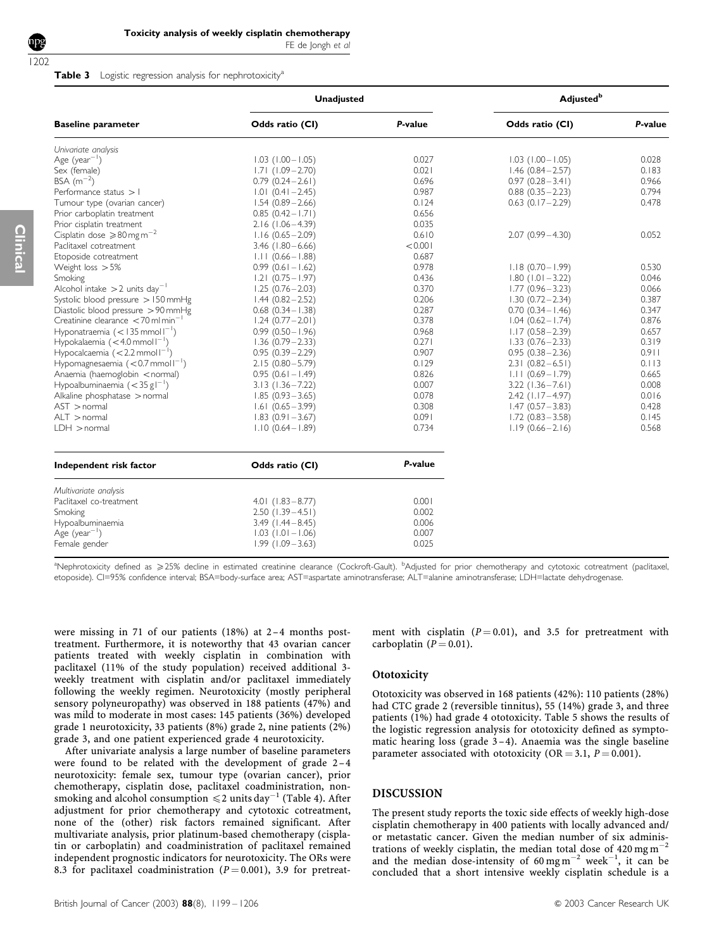Clinical

FE de Jongh et al

#### Table 3 Logistic regression analysis for nephrotoxicity<sup>a</sup>

| <b>Baseline parameter</b>                        | <b>Unadjusted</b>      |         | <b>Adjusted</b> <sup>b</sup> |         |  |
|--------------------------------------------------|------------------------|---------|------------------------------|---------|--|
|                                                  | Odds ratio (CI)        | P-value | Odds ratio (CI)              | P-value |  |
| Univariate analysis                              |                        |         |                              |         |  |
| Age (year <sup>-1</sup> )                        | $1.03$ $(1.00 - 1.05)$ | 0.027   | $1.03$ $(1.00 - 1.05)$       | 0.028   |  |
| Sex (female)                                     | $1.71(1.09 - 2.70)$    | 0.021   | $1.46(0.84 - 2.57)$          | 0.183   |  |
| BSA $(m^{-2})$                                   | $0.79(0.24 - 2.61)$    | 0.696   | $0.97(0.28 - 3.41)$          | 0.966   |  |
| Performance status > I                           | $1.01(0.41 - 2.45)$    | 0.987   | $0.88(0.35 - 2.23)$          | 0.794   |  |
| Tumour type (ovarian cancer)                     | $1.54(0.89 - 2.66)$    | 0.124   | $0.63(0.17 - 2.29)$          | 0.478   |  |
| Prior carboplatin treatment                      | $0.85(0.42 - 1.71)$    | 0.656   |                              |         |  |
| Prior cisplatin treatment                        | $2.16(1.06 - 4.39)$    | 0.035   |                              |         |  |
| Cisplatin dose $\geqslant$ 80 mg m <sup>-2</sup> | $1.16(0.65 - 2.09)$    | 0.610   | $2.07(0.99 - 4.30)$          | 0.052   |  |
| Paclitaxel cotreatment                           | $3.46$ (1.80 - 6.66)   | < 0.001 |                              |         |  |
| Etoposide cotreatment                            | $1.11(0.66 - 1.88)$    | 0.687   |                              |         |  |
| Weight loss $>5\%$                               | $0.99(0.61 - 1.62)$    | 0.978   | $1.18(0.70 - 1.99)$          | 0.530   |  |
| Smoking                                          | $1.21 (0.75 - 1.97)$   | 0.436   | $1.80$ (1.01 - 3.22)         | 0.046   |  |
| Alcohol intake $>$ 2 units day <sup>-1</sup>     | $1.25(0.76 - 2.03)$    | 0.370   | $1.77(0.96 - 3.23)$          | 0.066   |  |
| Systolic blood pressure > 150 mmHg               | $1.44(0.82 - 2.52)$    | 0.206   | $1.30(0.72 - 2.34)$          | 0.387   |  |
| Diastolic blood pressure > 90 mmHg               | $0.68$ $(0.34 - 1.38)$ | 0.287   | $0.70(0.34 - 1.46)$          | 0.347   |  |
| Creatinine clearance <70 ml min <sup>-</sup>     | $1.24(0.77 - 2.01)$    | 0.378   | $1.04$ $(0.62 - 1.74)$       | 0.876   |  |
| Hyponatraemia $(< 135$ mmoll <sup>-1</sup> )     | $0.99$ $(0.50 - 1.96)$ | 0.968   | $1.17(0.58 - 2.39)$          | 0.657   |  |
| Hypokalaemia $(<$ 4.0 mmol $I^{-1}$ )            | $1.36(0.79 - 2.33)$    | 0.271   | $1.33(0.76 - 2.33)$          | 0.319   |  |
| Hypocalcaemia $(< 2.2$ mmol $I^{-1}$ )           | $0.95(0.39 - 2.29)$    | 0.907   | $0.95(0.38 - 2.36)$          | 0.911   |  |
| Hypomagnesaemia $(< 0.7$ mmoll <sup>-1</sup> )   | $2.15(0.80 - 5.79)$    | 0.129   | $2.31(0.82 - 6.51)$          | 0.113   |  |
| Anaemia (haemoglobin < normal)                   | $0.95(0.61 - 1.49)$    | 0.826   | $1.11(0.69 - 1.79)$          | 0.665   |  |
| Hypoalbuminaemia $(<$ 35 g $\vert^{-1}$ )        | $3.13(1.36 - 7.22)$    | 0.007   | $3.22$ (1.36 – 7.61)         | 0.008   |  |
| Alkaline phosphatase > normal                    | $1.85(0.93 - 3.65)$    | 0.078   | $2.42$ (1.17 - 4.97)         | 0.016   |  |
| $AST$ > normal                                   | $1.61 (0.65 - 3.99)$   | 0.308   | $1.47(0.57 - 3.83)$          | 0.428   |  |
| ALT > normal                                     | $1.83(0.91 - 3.67)$    | 0.091   | $1.72(0.83 - 3.58)$          | 0.145   |  |
| $LDH$ > normal                                   | $1.10(0.64 - 1.89)$    | 0.734   | $1.19(0.66 - 2.16)$          | 0.568   |  |
| Independent risk factor                          | Odds ratio (CI)        | P-value |                              |         |  |
| Multivariate analysis                            |                        |         |                              |         |  |
| Paclitaxel co-treatment                          | $4.01(1.83 - 8.77)$    | 0.001   |                              |         |  |
| Smoking                                          | $2.50$ (1.39 - 4.51)   | 0.002   |                              |         |  |
| Hypoalbuminaemia                                 | $3.49$ (1.44 - 8.45)   | 0.006   |                              |         |  |
| Age (year <sup>-1</sup> )                        | $1.03$ (1.01 - 1.06)   | 0.007   |                              |         |  |
| Female gender                                    | $1.99(1.09 - 3.63)$    | 0.025   |                              |         |  |

<sup>a</sup>Nephrotoxicity defined as ≥25% decline in estimated creatinine clearance (Cockroft-Gault). <sup>b</sup>Adjusted for prior chemotherapy and cytotoxic cotreatment (paclitaxel, etoposide). CI=95% confidence interval; BSA=body-surface area; AST=aspartate aminotransferase; ALT=alanine aminotransferase; LDH=lactate dehydrogenase.

were missing in 71 of our patients (18%) at 2–4 months posttreatment. Furthermore, it is noteworthy that 43 ovarian cancer patients treated with weekly cisplatin in combination with paclitaxel (11% of the study population) received additional 3 weekly treatment with cisplatin and/or paclitaxel immediately following the weekly regimen. Neurotoxicity (mostly peripheral sensory polyneuropathy) was observed in 188 patients (47%) and was mild to moderate in most cases: 145 patients (36%) developed grade 1 neurotoxicity, 33 patients (8%) grade 2, nine patients (2%) grade 3, and one patient experienced grade 4 neurotoxicity.

After univariate analysis a large number of baseline parameters were found to be related with the development of grade 2–4 neurotoxicity: female sex, tumour type (ovarian cancer), prior chemotherapy, cisplatin dose, paclitaxel coadministration, nonsmoking and alcohol consumption  $\leq 2$  units day<sup>-1</sup> (Table 4). After adjustment for prior chemotherapy and cytotoxic cotreatment, none of the (other) risk factors remained significant. After multivariate analysis, prior platinum-based chemotherapy (cisplatin or carboplatin) and coadministration of paclitaxel remained independent prognostic indicators for neurotoxicity. The ORs were 8.3 for paclitaxel coadministration ( $P = 0.001$ ), 3.9 for pretreatment with cisplatin ( $P = 0.01$ ), and 3.5 for pretreatment with carboplatin ( $P = 0.01$ ).

#### **Ototoxicity**

Ototoxicity was observed in 168 patients (42%): 110 patients (28%) had CTC grade 2 (reversible tinnitus), 55 (14%) grade 3, and three patients (1%) had grade 4 ototoxicity. Table 5 shows the results of the logistic regression analysis for ototoxicity defined as symptomatic hearing loss (grade  $3-4$ ). Anaemia was the single baseline parameter associated with ototoxicity (OR = 3.1,  $P = 0.001$ ).

## DISCUSSION

The present study reports the toxic side effects of weekly high-dose cisplatin chemotherapy in 400 patients with locally advanced and/ or metastatic cancer. Given the median number of six administrations of weekly cisplatin, the median total dose of  $420 \text{ mg m}^{-2}$ and the median dose-intensity of 60 mg  $m^{-2}$  week<sup>-1</sup>, it can be concluded that a short intensive weekly cisplatin schedule is a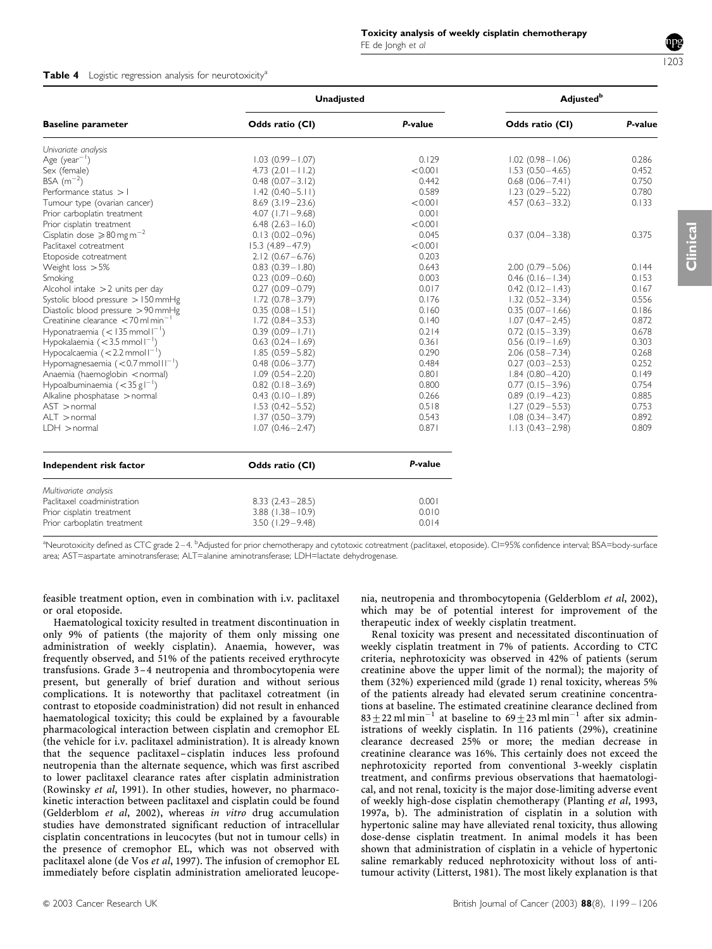#### Table 4 Logistic regression analysis for neurotoxicity<sup>a</sup>

|                                                  | <b>Unadjusted</b>      | <b>Adjusted</b> <sup>b</sup> |                        |         |
|--------------------------------------------------|------------------------|------------------------------|------------------------|---------|
| <b>Baseline parameter</b>                        | Odds ratio (CI)        | P-value                      | Odds ratio (CI)        | P-value |
| Univariate analysis                              |                        |                              |                        |         |
| Age (year <sup>-1</sup> )                        | $1.03(0.99 - 1.07)$    | 0.129                        | $1.02$ (0.98 - 1.06)   | 0.286   |
| Sex (female)                                     | $4.73$ $(2.01 - 11.2)$ | < 0.001                      | $1.53(0.50 - 4.65)$    | 0.452   |
| BSA $(m^{-2})$                                   | $0.48$ $(0.07 - 3.12)$ | 0.442                        | $0.68$ $(0.06 - 7.41)$ | 0.750   |
| Performance status $>1$                          | $1.42(0.40-5.11)$      | 0.589                        | $1.23(0.29 - 5.22)$    | 0.780   |
| Tumour type (ovarian cancer)                     | $8.69(3.19-23.6)$      | < 0.001                      | $4.57(0.63 - 33.2)$    | 0.133   |
| Prior carboplatin treatment                      | $4.07$ (1.71 - 9.68)   | 0.001                        |                        |         |
| Prior cisplatin treatment                        | $6.48$ $(2.63 - 16.0)$ | < 0.001                      |                        |         |
| Cisplatin dose $\geqslant$ 80 mg m <sup>-2</sup> | $0.13(0.02 - 0.96)$    | 0.045                        | $0.37(0.04 - 3.38)$    | 0.375   |
| Paclitaxel cotreatment                           | $15.3(4.89 - 47.9)$    | < 0.001                      |                        |         |
| Etoposide cotreatment                            | $2.12(0.67 - 6.76)$    | 0.203                        |                        |         |
| Weight loss $>5\%$                               | $0.83$ $(0.39 - 1.80)$ | 0.643                        | $2.00(0.79 - 5.06)$    | 0.144   |
| Smoking                                          | $0.23$ (0.09 $-0.60$ ) | 0.003                        | $0.46$ (0.16 - 1.34)   | 0.153   |
| Alcohol intake $>2$ units per day                | $0.27(0.09 - 0.79)$    | 0.017                        | $0.42(0.12 - 1.43)$    | 0.167   |
| Systolic blood pressure > 150 mmHg               | $1.72(0.78 - 3.79)$    | 0.176                        | $1.32(0.52 - 3.34)$    | 0.556   |
| Diastolic blood pressure > 90 mmHg               | $0.35(0.08 - 1.51)$    | 0.160                        | $0.35(0.07 - 1.66)$    | 0.186   |
| Creatinine clearance <70 ml min <sup>-</sup>     | $1.72(0.84 - 3.53)$    | 0.140                        | $1.07(0.47 - 2.45)$    | 0.872   |
| Hyponatraemia $(< 135$ mmoll <sup>-1</sup> )     | $0.39(0.09 - 1.71)$    | 0.214                        | $0.72(0.15 - 3.39)$    | 0.678   |
| Hypokalaemia $(<$ 3.5 mmol $1^{-1}$ )            | $0.63$ $(0.24 - 1.69)$ | 0.361                        | $0.56$ $(0.19 - 1.69)$ | 0.303   |
| Hypocalcaemia $(< 2.2$ mmol $I^{-1}$ )           | $1.85(0.59 - 5.82)$    | 0.290                        | $2.06(0.58 - 7.34)$    | 0.268   |
| Hypomagnesaemia $(< 0.7$ mmol $11^{-1}$ )        | $0.48$ $(0.06 - 3.77)$ | 0.484                        | $0.27(0.03 - 2.53)$    | 0.252   |
| Anaemia (haemoglobin < normal)                   | $1.09(0.54 - 2.20)$    | 0.801                        | $1.84(0.80 - 4.20)$    | 0.149   |
| Hypoalbuminaemia $(<$ 35 g $I^{-1}$ )            | $0.82$ $(0.18 - 3.69)$ | 0.800                        | $0.77(0.15-3.96)$      | 0.754   |
| Alkaline phosphatase > normal                    | $0.43$ $(0.10 - 1.89)$ | 0.266                        | $0.89(0.19 - 4.23)$    | 0.885   |
| $AST$ > normal                                   | $1.53(0.42 - 5.52)$    | 0.518                        | $1.27(0.29 - 5.53)$    | 0.753   |
| $ALT$ > normal                                   | $1.37(0.50 - 3.79)$    | 0.543                        | $1.08(0.34 - 3.47)$    | 0.892   |
| $LDH$ > normal                                   | $1.07(0.46 - 2.47)$    | 0.871                        | $1.13(0.43 - 2.98)$    | 0.809   |
| Independent risk factor                          | Odds ratio (CI)        | P-value                      |                        |         |
| Multivariate analysis                            |                        |                              |                        |         |
| Paclitaxel coadministration                      | $8.33(2.43-28.5)$      | 0.001                        |                        |         |
| Prior cisplatin treatment                        | $3.88$ $(1.38 - 10.9)$ | 0.010                        |                        |         |
| Prior carboplatin treatment                      | $3.50(1.29 - 9.48)$    | 0.014                        |                        |         |

a<br>Neurotoxicity defined as CTC grade 2–4. <sup>b</sup>Adjusted for prior chemotherapy and cytotoxic cotreatment (paclitaxel, etoposide). CI=95% confidence interval; BSA=body-surface area; AST=aspartate aminotransferase; ALT=alanine aminotransferase; LDH=lactate dehydrogenase.

feasible treatment option, even in combination with i.v. paclitaxel or oral etoposide.

Haematological toxicity resulted in treatment discontinuation in only 9% of patients (the majority of them only missing one administration of weekly cisplatin). Anaemia, however, was frequently observed, and 51% of the patients received erythrocyte transfusions. Grade 3–4 neutropenia and thrombocytopenia were present, but generally of brief duration and without serious complications. It is noteworthy that paclitaxel cotreatment (in contrast to etoposide coadministration) did not result in enhanced haematological toxicity; this could be explained by a favourable pharmacological interaction between cisplatin and cremophor EL (the vehicle for i.v. paclitaxel administration). It is already known that the sequence paclitaxel–cisplatin induces less profound neutropenia than the alternate sequence, which was first ascribed to lower paclitaxel clearance rates after cisplatin administration (Rowinsky et al, 1991). In other studies, however, no pharmacokinetic interaction between paclitaxel and cisplatin could be found (Gelderblom et al, 2002), whereas in vitro drug accumulation studies have demonstrated significant reduction of intracellular cisplatin concentrations in leucocytes (but not in tumour cells) in the presence of cremophor EL, which was not observed with paclitaxel alone (de Vos et al, 1997). The infusion of cremophor EL immediately before cisplatin administration ameliorated leucopenia, neutropenia and thrombocytopenia (Gelderblom et al, 2002), which may be of potential interest for improvement of the therapeutic index of weekly cisplatin treatment.

Renal toxicity was present and necessitated discontinuation of weekly cisplatin treatment in 7% of patients. According to CTC criteria, nephrotoxicity was observed in 42% of patients (serum creatinine above the upper limit of the normal); the majority of them (32%) experienced mild (grade 1) renal toxicity, whereas 5% of the patients already had elevated serum creatinine concentrations at baseline. The estimated creatinine clearance declined from  $83 + 22$  ml min<sup>-1</sup> at baseline to  $69 + 23$  ml min<sup>-1</sup> after six administrations of weekly cisplatin. In 116 patients (29%), creatinine clearance decreased 25% or more; the median decrease in creatinine clearance was 16%. This certainly does not exceed the nephrotoxicity reported from conventional 3-weekly cisplatin treatment, and confirms previous observations that haematological, and not renal, toxicity is the major dose-limiting adverse event of weekly high-dose cisplatin chemotherapy (Planting et al, 1993, 1997a, b). The administration of cisplatin in a solution with hypertonic saline may have alleviated renal toxicity, thus allowing dose-dense cisplatin treatment. In animal models it has been shown that administration of cisplatin in a vehicle of hypertonic saline remarkably reduced nephrotoxicity without loss of antitumour activity (Litterst, 1981). The most likely explanation is that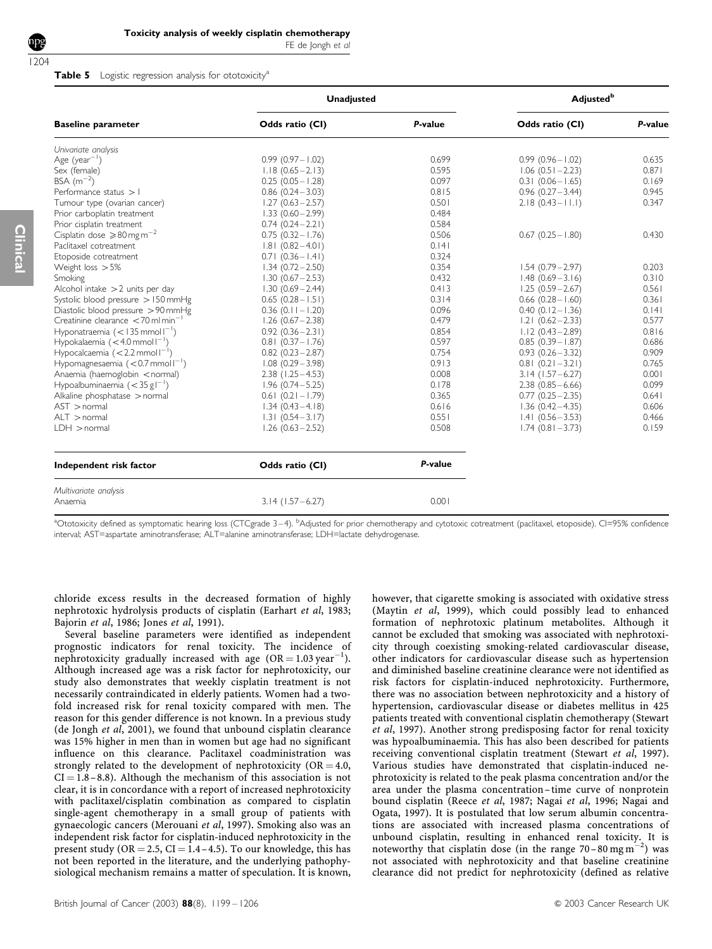FE de Jongh et al

#### Table 5 Logistic regression analysis for ototoxicity<sup>a</sup>

|                        | <b>Adjusted</b> <sup>b</sup> |                        |         |
|------------------------|------------------------------|------------------------|---------|
| Odds ratio (CI)        | P-value                      | Odds ratio (CI)        | P-value |
|                        |                              |                        |         |
| $0.99(0.97 - 1.02)$    | 0.699                        | $0.99(0.96 - 1.02)$    | 0.635   |
| $1.18(0.65 - 2.13)$    | 0.595                        | $1.06(0.51 - 2.23)$    | 0.871   |
| $0.25(0.05 - 1.28)$    | 0.097                        | $0.31(0.06 - 1.65)$    | 0.169   |
| $0.86(0.24 - 3.03)$    | 0.815                        | $0.96(0.27 - 3.44)$    | 0.945   |
| $1.27(0.63 - 2.57)$    | 0.501                        | $2.18(0.43 - 11.1)$    | 0.347   |
| $1.33(0.60 - 2.99)$    | 0.484                        |                        |         |
| $0.74(0.24 - 2.21)$    | 0.584                        |                        |         |
| $0.75(0.32 - 1.76)$    | 0.506                        | $0.67(0.25 - 1.80)$    | 0.430   |
| $1.81(0.82 - 4.01)$    | 0.141                        |                        |         |
| $0.71(0.36 - 1.41)$    | 0.324                        |                        |         |
| $1.34(0.72 - 2.50)$    | 0.354                        | $1.54(0.79 - 2.97)$    | 0.203   |
| $1.30(0.67 - 2.53)$    | 0.432                        | $1.48(0.69 - 3.16)$    | 0.310   |
| $1.30(0.69 - 2.44)$    | 0.413                        | $1.25(0.59 - 2.67)$    | 0.561   |
| $0.65(0.28 - 1.51)$    | 0.314                        | $0.66$ $(0.28 - 1.60)$ | 0.361   |
| $0.36$ (0.11 - 1.20)   | 0.096                        | $0.40(0.12 - 1.36)$    | 0.141   |
| $1.26(0.67 - 2.38)$    | 0.479                        | $1.21(0.62 - 2.33)$    | 0.577   |
| $0.92(0.36 - 2.31)$    | 0.854                        | $1.12(0.43 - 2.89)$    | 0.816   |
| $0.81(0.37 - 1.76)$    | 0.597                        | $0.85(0.39 - 1.87)$    | 0.686   |
| $0.82$ $(0.23 - 2.87)$ | 0.754                        | $0.93(0.26 - 3.32)$    | 0.909   |
| $1.08(0.29 - 3.98)$    | 0.913                        | $0.81(0.21 - 3.21)$    | 0.765   |
| $2.38$ (1.25 - 4.53)   | 0.008                        | $3.14$ (1.57 – 6.27)   | 0.001   |
| $1.96(0.74 - 5.25)$    | 0.178                        | $2.38(0.85 - 6.66)$    | 0.099   |
| $0.61(0.21 - 1.79)$    | 0.365                        | $0.77(0.25 - 2.35)$    | 0.641   |
| $1.34(0.43 - 4.18)$    | 0.616                        | $1.36(0.42 - 4.35)$    | 0.606   |
| $1.31 (0.54 - 3.17)$   | 0.551                        | $1.41(0.56 - 3.53)$    | 0.466   |
| $1.26(0.63 - 2.52)$    | 0.508                        | $1.74(0.81 - 3.73)$    | 0.159   |
| Odds ratio (CI)        | P-value                      |                        |         |
| $3.14$ (1.57 – 6.27)   | 0.001                        |                        |         |
|                        |                              | <b>Unadjusted</b>      |         |

<sup>a</sup>Ototoxicity defined as symptomatic hearing loss (CTCgrade 3–4). <sup>b</sup>Adjusted for prior chemotherapy and cytotoxic cotreatment (paclitaxel, etoposide). CI=95% confidence interval; AST=aspartate aminotransferase; ALT=alanine aminotransferase; LDH=lactate dehydrogenase.

chloride excess results in the decreased formation of highly nephrotoxic hydrolysis products of cisplatin (Earhart et al, 1983; Bajorin et al, 1986; Jones et al, 1991).

Several baseline parameters were identified as independent prognostic indicators for renal toxicity. The incidence of nephrotoxicity gradually increased with age  $(OR = 1.03 \text{ year}^{-1})$ . Although increased age was a risk factor for nephrotoxicity, our study also demonstrates that weekly cisplatin treatment is not necessarily contraindicated in elderly patients. Women had a twofold increased risk for renal toxicity compared with men. The reason for this gender difference is not known. In a previous study (de Jongh et al, 2001), we found that unbound cisplatin clearance was 15% higher in men than in women but age had no significant influence on this clearance. Paclitaxel coadministration was strongly related to the development of nephrotoxicity ( $OR = 4.0$ ,  $CI = 1.8 - 8.8$ ). Although the mechanism of this association is not clear, it is in concordance with a report of increased nephrotoxicity with paclitaxel/cisplatin combination as compared to cisplatin single-agent chemotherapy in a small group of patients with gynaecologic cancers (Merouani et al, 1997). Smoking also was an independent risk factor for cisplatin-induced nephrotoxicity in the present study (OR = 2.5, CI =  $1.4 - 4.5$ ). To our knowledge, this has not been reported in the literature, and the underlying pathophysiological mechanism remains a matter of speculation. It is known,

however, that cigarette smoking is associated with oxidative stress (Maytin et al, 1999), which could possibly lead to enhanced formation of nephrotoxic platinum metabolites. Although it cannot be excluded that smoking was associated with nephrotoxicity through coexisting smoking-related cardiovascular disease, other indicators for cardiovascular disease such as hypertension and diminished baseline creatinine clearance were not identified as risk factors for cisplatin-induced nephrotoxicity. Furthermore, there was no association between nephrotoxicity and a history of hypertension, cardiovascular disease or diabetes mellitus in 425 patients treated with conventional cisplatin chemotherapy (Stewart et al, 1997). Another strong predisposing factor for renal toxicity was hypoalbuminaemia. This has also been described for patients receiving conventional cisplatin treatment (Stewart et al, 1997). Various studies have demonstrated that cisplatin-induced nephrotoxicity is related to the peak plasma concentration and/or the area under the plasma concentration–time curve of nonprotein bound cisplatin (Reece et al, 1987; Nagai et al, 1996; Nagai and Ogata, 1997). It is postulated that low serum albumin concentrations are associated with increased plasma concentrations of unbound cisplatin, resulting in enhanced renal toxicity. It is noteworthy that cisplatin dose (in the range 70-80 mg m<sup>-2</sup>) was not associated with nephrotoxicity and that baseline creatinine clearance did not predict for nephrotoxicity (defined as relative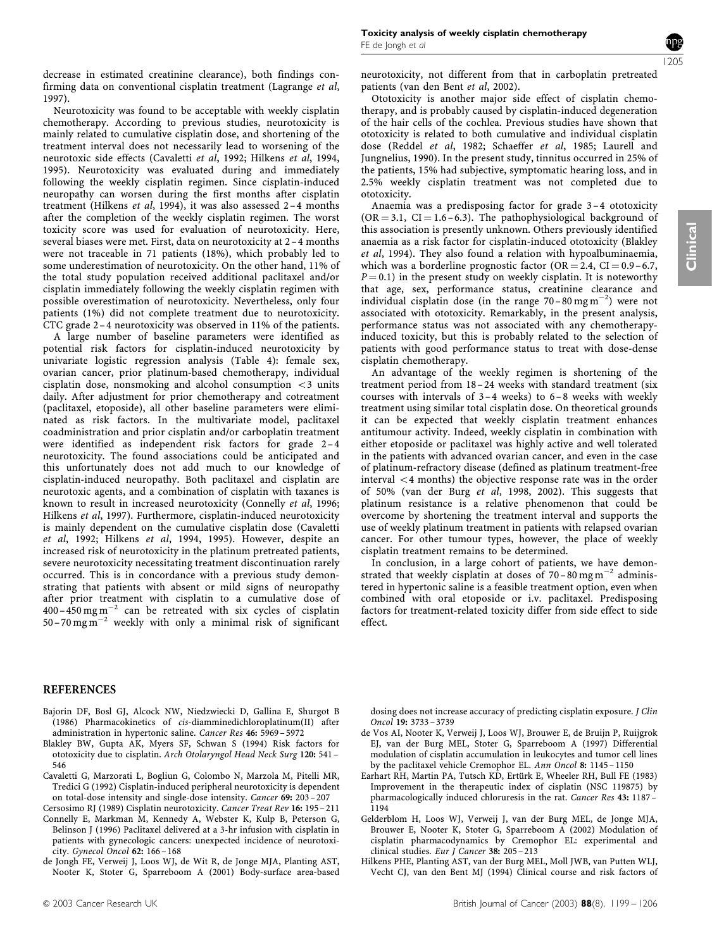Clinical

decrease in estimated creatinine clearance), both findings confirming data on conventional cisplatin treatment (Lagrange et al, 1997).

Neurotoxicity was found to be acceptable with weekly cisplatin chemotherapy. According to previous studies, neurotoxicity is mainly related to cumulative cisplatin dose, and shortening of the treatment interval does not necessarily lead to worsening of the neurotoxic side effects (Cavaletti et al, 1992; Hilkens et al, 1994, 1995). Neurotoxicity was evaluated during and immediately following the weekly cisplatin regimen. Since cisplatin-induced neuropathy can worsen during the first months after cisplatin treatment (Hilkens et al, 1994), it was also assessed 2 –4 months after the completion of the weekly cisplatin regimen. The worst toxicity score was used for evaluation of neurotoxicity. Here, several biases were met. First, data on neurotoxicity at 2-4 months were not traceable in 71 patients (18%), which probably led to some underestimation of neurotoxicity. On the other hand, 11% of the total study population received additional paclitaxel and/or cisplatin immediately following the weekly cisplatin regimen with possible overestimation of neurotoxicity. Nevertheless, only four patients (1%) did not complete treatment due to neurotoxicity. CTC grade 2– 4 neurotoxicity was observed in 11% of the patients.

A large number of baseline parameters were identified as potential risk factors for cisplatin-induced neurotoxicity by univariate logistic regression analysis (Table 4): female sex, ovarian cancer, prior platinum-based chemotherapy, individual cisplatin dose, nonsmoking and alcohol consumption  $\langle 3 \rangle$  units daily. After adjustment for prior chemotherapy and cotreatment (paclitaxel, etoposide), all other baseline parameters were eliminated as risk factors. In the multivariate model, paclitaxel coadministration and prior cisplatin and/or carboplatin treatment were identified as independent risk factors for grade 2-4 neurotoxicity. The found associations could be anticipated and this unfortunately does not add much to our knowledge of cisplatin-induced neuropathy. Both paclitaxel and cisplatin are neurotoxic agents, and a combination of cisplatin with taxanes is known to result in increased neurotoxicity (Connelly et al, 1996; Hilkens et al, 1997). Furthermore, cisplatin-induced neurotoxicity is mainly dependent on the cumulative cisplatin dose (Cavaletti et al, 1992; Hilkens et al, 1994, 1995). However, despite an increased risk of neurotoxicity in the platinum pretreated patients, severe neurotoxicity necessitating treatment discontinuation rarely occurred. This is in concordance with a previous study demonstrating that patients with absent or mild signs of neuropathy after prior treatment with cisplatin to a cumulative dose of  $400 - 450$  mg m<sup>-2</sup> can be retreated with six cycles of cisplatin 50–70 mg  $\text{m}^{-2}$  weekly with only a minimal risk of significant neurotoxicity, not different from that in carboplatin pretreated patients (van den Bent et al, 2002).

Ototoxicity is another major side effect of cisplatin chemotherapy, and is probably caused by cisplatin-induced degeneration of the hair cells of the cochlea. Previous studies have shown that ototoxicity is related to both cumulative and individual cisplatin dose (Reddel et al, 1982; Schaeffer et al, 1985; Laurell and Jungnelius, 1990). In the present study, tinnitus occurred in 25% of the patients, 15% had subjective, symptomatic hearing loss, and in 2.5% weekly cisplatin treatment was not completed due to ototoxicity.

Anaemia was a predisposing factor for grade 3–4 ototoxicity  $(OR = 3.1, CI = 1.6 - 6.3)$ . The pathophysiological background of this association is presently unknown. Others previously identified anaemia as a risk factor for cisplatin-induced ototoxicity (Blakley et al, 1994). They also found a relation with hypoalbuminaemia, which was a borderline prognostic factor  $(OR = 2.4, CI = 0.9 - 6.7,$  $P = 0.1$ ) in the present study on weekly cisplatin. It is noteworthy that age, sex, performance status, creatinine clearance and individual cisplatin dose (in the range 70-80 mg m<sup>-2</sup>) were not associated with ototoxicity. Remarkably, in the present analysis, performance status was not associated with any chemotherapyinduced toxicity, but this is probably related to the selection of patients with good performance status to treat with dose-dense cisplatin chemotherapy.

An advantage of the weekly regimen is shortening of the treatment period from 18-24 weeks with standard treatment (six courses with intervals of  $3-4$  weeks) to  $6-8$  weeks with weekly treatment using similar total cisplatin dose. On theoretical grounds it can be expected that weekly cisplatin treatment enhances antitumour activity. Indeed, weekly cisplatin in combination with either etoposide or paclitaxel was highly active and well tolerated in the patients with advanced ovarian cancer, and even in the case of platinum-refractory disease (defined as platinum treatment-free  $interval < 4$  months) the objective response rate was in the order of 50% (van der Burg et al, 1998, 2002). This suggests that platinum resistance is a relative phenomenon that could be overcome by shortening the treatment interval and supports the use of weekly platinum treatment in patients with relapsed ovarian cancer. For other tumour types, however, the place of weekly cisplatin treatment remains to be determined.

In conclusion, in a large cohort of patients, we have demonstrated that weekly cisplatin at doses of  $70-80$  mg m<sup>-2</sup> administered in hypertonic saline is a feasible treatment option, even when combined with oral etoposide or i.v. paclitaxel. Predisposing factors for treatment-related toxicity differ from side effect to side effect.

# **REFERENCES**

- Bajorin DF, Bosl GJ, Alcock NW, Niedzwiecki D, Gallina E, Shurgot B (1986) Pharmacokinetics of cis-diamminedichloroplatinum(II) after administration in hypertonic saline. Cancer Res 46: 5969 – 5972
- Blakley BW, Gupta AK, Myers SF, Schwan S (1994) Risk factors for ototoxicity due to cisplatin. Arch Otolaryngol Head Neck Surg 120: 541 – 546
- Cavaletti G, Marzorati L, Bogliun G, Colombo N, Marzola M, Pitelli MR, Tredici G (1992) Cisplatin-induced peripheral neurotoxicity is dependent on total-dose intensity and single-dose intensity. Cancer 69: 203 – 207
- Cersosimo RJ (1989) Cisplatin neurotoxicity. Cancer Treat Rev 16: 195 211 Connelly E, Markman M, Kennedy A, Webster K, Kulp B, Peterson G, Belinson J (1996) Paclitaxel delivered at a 3-hr infusion with cisplatin in patients with gynecologic cancers: unexpected incidence of neurotoxicity. Gynecol Oncol 62: 166 – 168
- de Jongh FE, Verweij J, Loos WJ, de Wit R, de Jonge MJA, Planting AST, Nooter K, Stoter G, Sparreboom A (2001) Body-surface area-based

dosing does not increase accuracy of predicting cisplatin exposure. J Clin Oncol 19: 3733 – 3739

- de Vos AI, Nooter K, Verweij J, Loos WJ, Brouwer E, de Bruijn P, Ruijgrok EJ, van der Burg MEL, Stoter G, Sparreboom A (1997) Differential modulation of cisplatin accumulation in leukocytes and tumor cell lines by the paclitaxel vehicle Cremophor EL. Ann Oncol 8: 1145 – 1150
- Earhart RH, Martin PA, Tutsch KD, Ertürk E, Wheeler RH, Bull FE (1983) Improvement in the therapeutic index of cisplatin (NSC 119875) by pharmacologically induced chloruresis in the rat. Cancer Res 43: 1187 – 1194
- Gelderblom H, Loos WJ, Verweij J, van der Burg MEL, de Jonge MJA, Brouwer E, Nooter K, Stoter G, Sparreboom A (2002) Modulation of cisplatin pharmacodynamics by Cremophor EL: experimental and clinical studies. Eur J Cancer 38: 205 – 213
- Hilkens PHE, Planting AST, van der Burg MEL, Moll JWB, van Putten WLJ, Vecht CJ, van den Bent MJ (1994) Clinical course and risk factors of